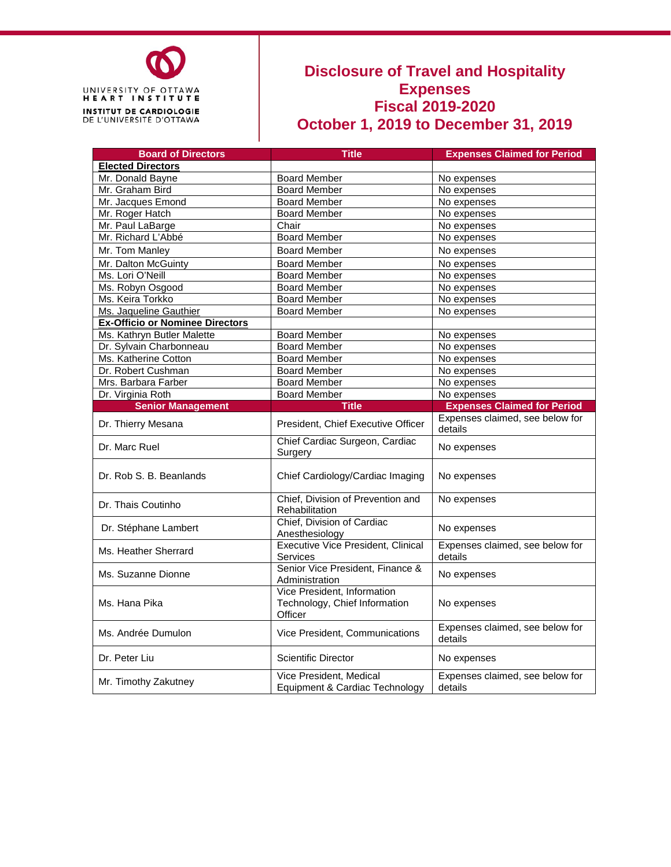

### **Disclosure of Travel and Hospitality Expenses Fiscal 2019-2020 October 1, 2019 to December 31, 2019**

| <b>Board of Directors</b>              | <b>Title</b>                                                            | <b>Expenses Claimed for Period</b>         |  |  |
|----------------------------------------|-------------------------------------------------------------------------|--------------------------------------------|--|--|
| <b>Elected Directors</b>               |                                                                         |                                            |  |  |
| Mr. Donald Bayne                       | <b>Board Member</b>                                                     | No expenses                                |  |  |
| Mr. Graham Bird                        | <b>Board Member</b>                                                     | No expenses                                |  |  |
| Mr. Jacques Emond                      | <b>Board Member</b>                                                     | No expenses                                |  |  |
| Mr. Roger Hatch                        | <b>Board Member</b>                                                     | No expenses                                |  |  |
| Mr. Paul LaBarge                       | Chair                                                                   | No expenses                                |  |  |
| Mr. Richard L'Abbé                     | <b>Board Member</b>                                                     | No expenses                                |  |  |
| Mr. Tom Manley                         | <b>Board Member</b>                                                     | No expenses                                |  |  |
| Mr. Dalton McGuinty                    | <b>Board Member</b>                                                     | No expenses                                |  |  |
| Ms. Lori O'Neill                       | <b>Board Member</b>                                                     | No expenses                                |  |  |
| Ms. Robyn Osgood                       | <b>Board Member</b>                                                     | No expenses                                |  |  |
| Ms. Keira Torkko                       | <b>Board Member</b>                                                     | No expenses                                |  |  |
| Ms. Jaqueline Gauthier                 | <b>Board Member</b>                                                     | No expenses                                |  |  |
| <b>Ex-Officio or Nominee Directors</b> |                                                                         |                                            |  |  |
| Ms. Kathryn Butler Malette             | <b>Board Member</b>                                                     | No expenses                                |  |  |
| Dr. Sylvain Charbonneau                | <b>Board Member</b>                                                     | No expenses                                |  |  |
| Ms. Katherine Cotton                   | <b>Board Member</b>                                                     | No expenses                                |  |  |
| Dr. Robert Cushman                     | <b>Board Member</b>                                                     | No expenses                                |  |  |
| Mrs. Barbara Farber                    | <b>Board Member</b>                                                     | No expenses                                |  |  |
| Dr. Virginia Roth                      | <b>Board Member</b>                                                     | No expenses                                |  |  |
| <b>Senior Management</b>               | <b>Title</b>                                                            | <b>Expenses Claimed for Period</b>         |  |  |
| Dr. Thierry Mesana                     | President, Chief Executive Officer                                      | Expenses claimed, see below for<br>details |  |  |
| Dr. Marc Ruel                          | Chief Cardiac Surgeon, Cardiac<br>Surgery                               | No expenses                                |  |  |
| Dr. Rob S. B. Beanlands                | Chief Cardiology/Cardiac Imaging                                        | No expenses                                |  |  |
| Dr. Thais Coutinho                     | Chief, Division of Prevention and<br>Rehabilitation                     | No expenses                                |  |  |
| Dr. Stéphane Lambert                   | Chief, Division of Cardiac<br>Anesthesiology                            | No expenses                                |  |  |
| Ms. Heather Sherrard                   | <b>Executive Vice President, Clinical</b><br><b>Services</b>            | Expenses claimed, see below for<br>details |  |  |
| Ms. Suzanne Dionne                     | Senior Vice President, Finance &<br>Administration                      | No expenses                                |  |  |
| Ms. Hana Pika                          | Vice President, Information<br>Technology, Chief Information<br>Officer | No expenses                                |  |  |
| Ms. Andrée Dumulon                     | Vice President, Communications                                          | Expenses claimed, see below for<br>details |  |  |
| Dr. Peter Liu                          | Scientific Director                                                     | No expenses                                |  |  |
| Mr. Timothy Zakutney                   | Vice President, Medical<br>Equipment & Cardiac Technology               | Expenses claimed, see below for<br>details |  |  |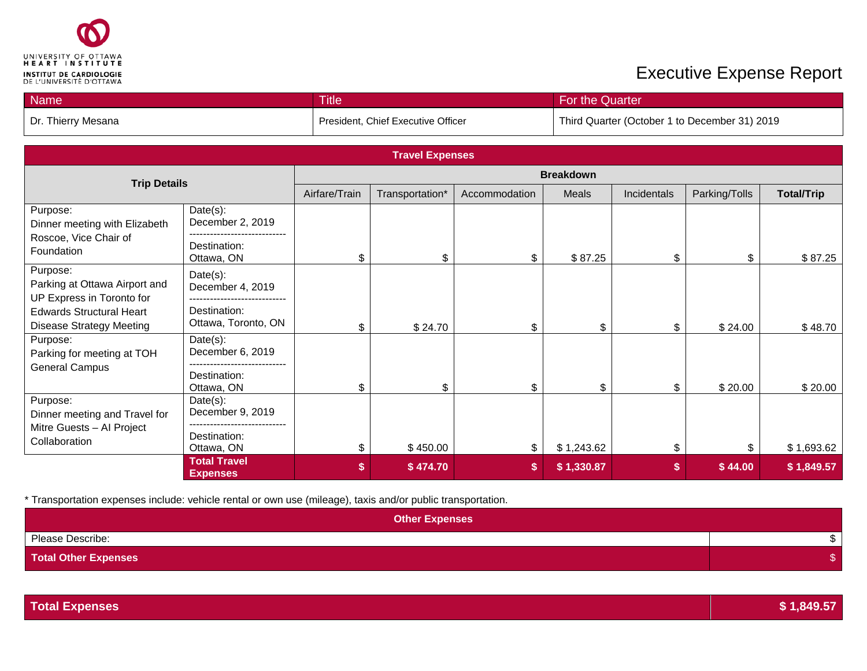

| <b>Name</b>        | <b>Title</b>                       | For the Quarter                               |
|--------------------|------------------------------------|-----------------------------------------------|
| Dr. Thierry Mesana | President, Chief Executive Officer | Third Quarter (October 1 to December 31) 2019 |

| <b>Travel Expenses</b>                                                 |                                        |                  |                 |               |            |             |               |                   |
|------------------------------------------------------------------------|----------------------------------------|------------------|-----------------|---------------|------------|-------------|---------------|-------------------|
| <b>Trip Details</b>                                                    |                                        | <b>Breakdown</b> |                 |               |            |             |               |                   |
|                                                                        |                                        | Airfare/Train    | Transportation* | Accommodation | Meals      | Incidentals | Parking/Tolls | <b>Total/Trip</b> |
| Purpose:<br>Dinner meeting with Elizabeth                              | Date(s):<br>December 2, 2019           |                  |                 |               |            |             |               |                   |
| Roscoe, Vice Chair of<br>Foundation                                    | Destination:<br>Ottawa, ON             | \$               | \$              | \$            | \$87.25    | \$          | \$            | \$87.25           |
| Purpose:<br>Parking at Ottawa Airport and<br>UP Express in Toronto for | Date(s):<br>December 4, 2019           |                  |                 |               |            |             |               |                   |
| <b>Edwards Structural Heart</b><br><b>Disease Strategy Meeting</b>     | Destination:<br>Ottawa, Toronto, ON    | \$.              | \$24.70         | \$            | \$         | \$          | \$24.00       | \$48.70           |
| Purpose:<br>Parking for meeting at TOH<br><b>General Campus</b>        | Date(s):<br>December 6, 2019           |                  |                 |               |            |             |               |                   |
|                                                                        | Destination:<br>Ottawa, ON             | \$               | \$              | \$            | \$         | \$          | \$20.00       | \$20.00           |
| Purpose:<br>Dinner meeting and Travel for                              | Date(s):<br>December 9, 2019           |                  |                 |               |            |             |               |                   |
| Mitre Guests - Al Project<br>Collaboration                             | Destination:<br>Ottawa, ON             | \$               | \$450.00        | \$            | \$1,243.62 | \$          | \$            | \$1,693.62        |
|                                                                        | <b>Total Travel</b><br><b>Expenses</b> | \$               | \$474.70        | \$            | \$1,330.87 | S           | \$44.00       | \$1,849.57        |

| <b>Other Expenses</b>       |  |
|-----------------------------|--|
| Please Describe:            |  |
| <b>Total Other Expenses</b> |  |

| <b>Total Expenses</b> | 1.849.57 |
|-----------------------|----------|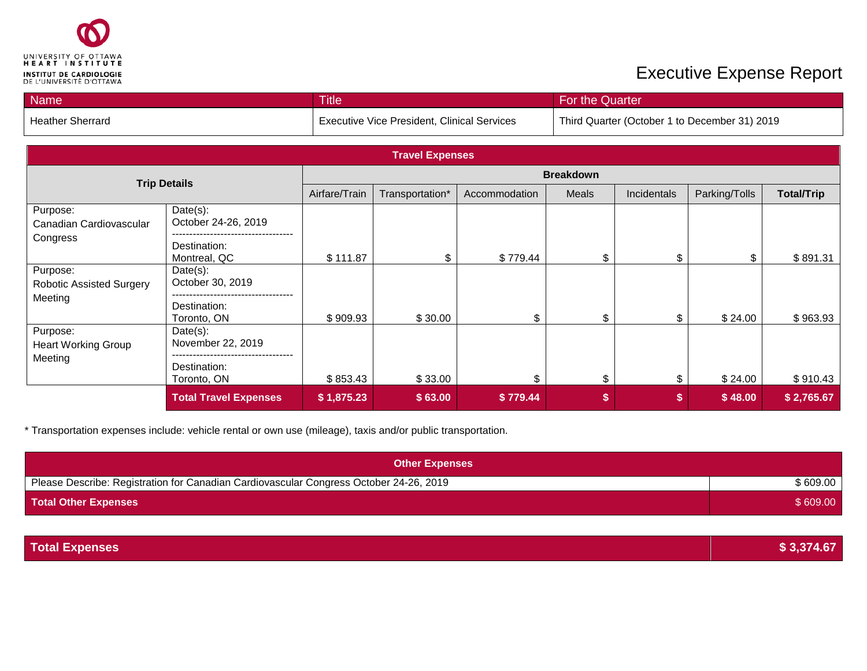

| <b>Name</b>      | <b>Title</b>                                       | For the Quarter                               |
|------------------|----------------------------------------------------|-----------------------------------------------|
| Heather Sherrard | <b>Executive Vice President, Clinical Services</b> | Third Quarter (October 1 to December 31) 2019 |

| <b>Travel Expenses</b>                                 |                                                                      |                  |                 |               |       |             |               |                   |
|--------------------------------------------------------|----------------------------------------------------------------------|------------------|-----------------|---------------|-------|-------------|---------------|-------------------|
| <b>Trip Details</b>                                    |                                                                      | <b>Breakdown</b> |                 |               |       |             |               |                   |
|                                                        |                                                                      | Airfare/Train    | Transportation* | Accommodation | Meals | Incidentals | Parking/Tolls | <b>Total/Trip</b> |
| Purpose:<br>Canadian Cardiovascular<br>Congress        | Date(s):<br>October 24-26, 2019<br>.<br>Destination:<br>Montreal, QC | \$111.87         | \$              | \$779.44      | \$    | \$          | \$            | \$891.31          |
| Purpose:<br><b>Robotic Assisted Surgery</b><br>Meeting | Date(s):<br>October 30, 2019<br>Destination:<br>Toronto, ON          | \$909.93         | \$30.00         | \$            | \$    |             | \$24.00       | \$963.93          |
| Purpose:<br><b>Heart Working Group</b><br>Meeting      | Date(s):<br>November 22, 2019<br>Destination:<br>Toronto, ON         | \$853.43         | \$33.00         | ፍ             | \$    | \$.         | \$24.00       | \$910.43          |
|                                                        | <b>Total Travel Expenses</b>                                         | \$1,875.23       | \$63.00         | \$779.44      |       | \$          | \$48.00       | \$2,765.67        |

| <b>Other Expenses</b>                                                                  |          |
|----------------------------------------------------------------------------------------|----------|
| Please Describe: Registration for Canadian Cardiovascular Congress October 24-26, 2019 | \$609.00 |
| <b>Total Other Expenses</b>                                                            | \$609.00 |

| <b>Total Expenses</b> | \$3,374.67 |
|-----------------------|------------|
|-----------------------|------------|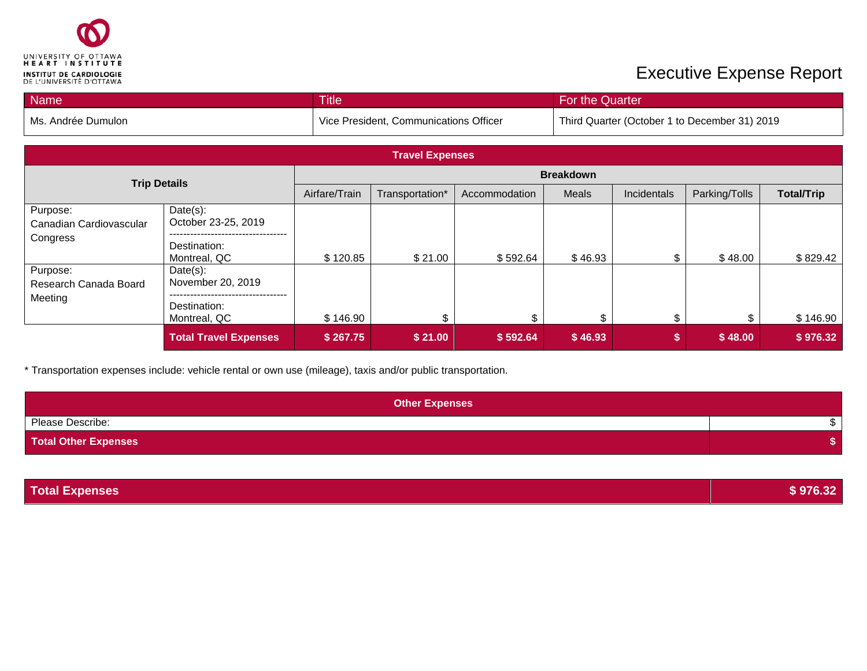

| <b>Name</b>        | <b>Title</b>                           | For the Quarter                               |
|--------------------|----------------------------------------|-----------------------------------------------|
| Ms. Andrée Dumulon | Vice President, Communications Officer | Third Quarter (October 1 to December 31) 2019 |

| <b>Travel Expenses</b>                          |                                                                  |                  |                 |               |         |             |               |                   |
|-------------------------------------------------|------------------------------------------------------------------|------------------|-----------------|---------------|---------|-------------|---------------|-------------------|
| <b>Trip Details</b>                             |                                                                  | <b>Breakdown</b> |                 |               |         |             |               |                   |
|                                                 |                                                                  | Airfare/Train    | Transportation* | Accommodation | Meals   | Incidentals | Parking/Tolls | <b>Total/Trip</b> |
| Purpose:<br>Canadian Cardiovascular<br>Congress | Date(s):<br>October 23-25, 2019<br>Destination:<br>Montreal, QC  | \$120.85         | \$21.00         | \$592.64      | \$46.93 |             | \$48.00       | \$829.42          |
| Purpose:<br>Research Canada Board<br>Meeting    | $Date(s)$ :<br>November 20, 2019<br>Destination:<br>Montreal, QC | \$146.90         | \$              | \$            | \$      | \$          | \$            | \$146.90          |
|                                                 | <b>Total Travel Expenses</b>                                     | \$267.75         | \$21.00         | \$592.64      | \$46.93 | S           | \$48.00       | \$976.32          |

| <b>Other Expenses</b>       |  |
|-----------------------------|--|
| Please Describe:            |  |
| <b>Total Other Expenses</b> |  |

| <b>Total Expenses</b> | \$976.32 |
|-----------------------|----------|